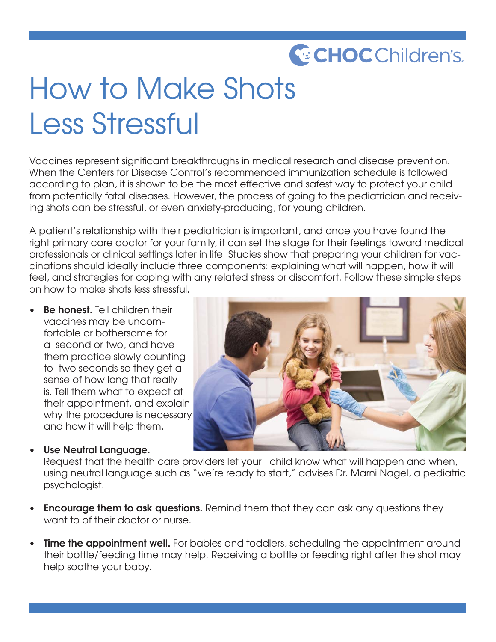## **C**: CHOC Children's.

## How to Make Shots Less Stressful

Vaccines represent significant breakthroughs in medical research and disease prevention. When the Centers for Disease Control's recommended immunization schedule is followed according to plan, it is shown to be the most effective and safest way to protect your child from potentially fatal diseases. However, the process of going to the pediatrician and receiving shots can be stressful, or even anxiety-producing, for young children.

A patient's relationship with their pediatrician is important, and once you have found the right primary care doctor for your family, it can set the stage for their feelings toward medical professionals or clinical settings later in life. Studies show that preparing your children for vaccinations should ideally include three components: explaining what will happen, how it will feel, and strategies for coping with any related stress or discomfort. Follow these simple steps on how to make shots less stressful.

**Be honest.** Tell children their vaccines may be uncomfortable or bothersome for a second or two, and have them practice slowly counting to two seconds so they get a sense of how long that really is. Tell them what to expect at their appointment, and explain why the procedure is necessary and how it will help them.

**• Use Neutral Language.** 

Request that the health care providers let your child know what will happen and when, using neutral language such as "we're ready to start," advises Dr. Marni Nagel, a pediatric psychologist.

- **Encourage them to ask questions.** Remind them that they can ask any questions they want to of their doctor or nurse.
- **Time the appointment well.** For babies and toddlers, scheduling the appointment around their bottle/feeding time may help. Receiving a bottle or feeding right after the shot may help soothe your baby.